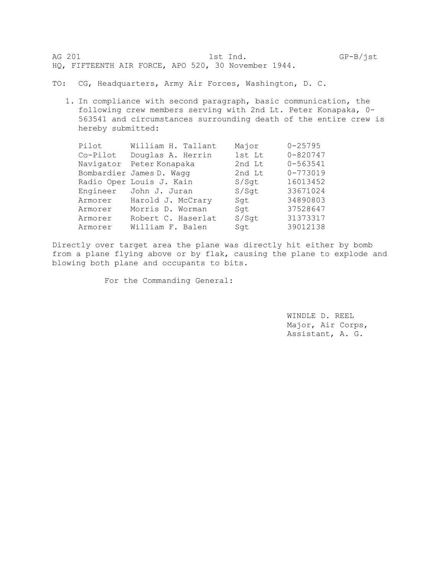AG 201 1st Ind. GP-B/jst HQ, FIFTEENTH AIR FORCE, APO 520, 30 November 1944.

TO: CG, Headquarters, Army Air Forces, Washington, D. C.

1. In compliance with second paragraph, basic communication, the following crew members serving with 2nd Lt. Peter Konapaka, 0- 563541 and circumstances surrounding death of the entire crew is hereby submitted:

| Pilot    | William H. Tallant       | Major  | $0 - 25795$  |
|----------|--------------------------|--------|--------------|
| Co-Pilot | Douglas A. Herrin        | 1st Lt | $0 - 820747$ |
|          | Navigator Peter Konapaka | 2nd Lt | $0 - 563541$ |
|          | Bombardier James D. Wagg | 2nd Lt | $0 - 773019$ |
|          | Radio Oper Louis J. Kain | S/Sqt  | 16013452     |
| Engineer | John J. Juran            | S/Sqt  | 33671024     |
| Armorer  | Harold J. McCrary        | Sqt    | 34890803     |
| Armorer  | Morris D. Worman         | Sqt    | 37528647     |
| Armorer  | Robert C. Haserlat       | S/Sqt  | 31373317     |
| Armorer  | William F. Balen         | Sqt    | 39012138     |

Directly over target area the plane was directly hit either by bomb from a plane flying above or by flak, causing the plane to explode and blowing both plane and occupants to bits.

For the Commanding General:

WINDLE D. REEL Major, Air Corps, Assistant, A. G.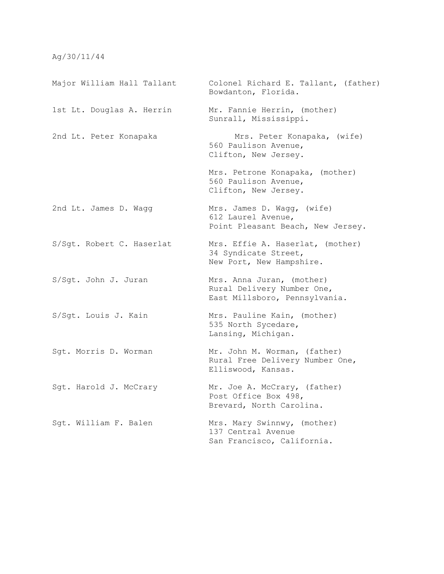## Ag/30/11/44

Major William Hall Tallant Colonel Richard E. Tallant, (father) Bowdanton, Florida. 1st Lt. Douglas A. Herrin Mr. Fannie Herrin, (mother) Sunrall, Mississippi. 2nd Lt. Peter Konapaka Mrs. Peter Konapaka, (wife) 560 Paulison Avenue, Clifton, New Jersey. Mrs. Petrone Konapaka, (mother) 560 Paulison Avenue, Clifton, New Jersey. 2nd Lt. James D. Wagg Mrs. James D. Wagg, (wife) 612 Laurel Avenue, Point Pleasant Beach, New Jersey. S/Sgt. Robert C. Haserlat Mrs. Effie A. Haserlat, (mother) 34 Syndicate Street, New Port, New Hampshire. S/Sgt. John J. Juran Mrs. Anna Juran, (mother) Rural Delivery Number One, East Millsboro, Pennsylvania. S/Sqt. Louis J. Kain Mrs. Pauline Kain, (mother) 535 North Sycedare, Lansing, Michigan. Sgt. Morris D. Worman Mr. John M. Worman, (father) Rural Free Delivery Number One, Elliswood, Kansas. Sgt. Harold J. McCrary Mr. Joe A. McCrary, (father) Post Office Box 498, Brevard, North Carolina. Sqt. William F. Balen Mrs. Mary Swinnwy, (mother) 137 Central Avenue San Francisco, California.